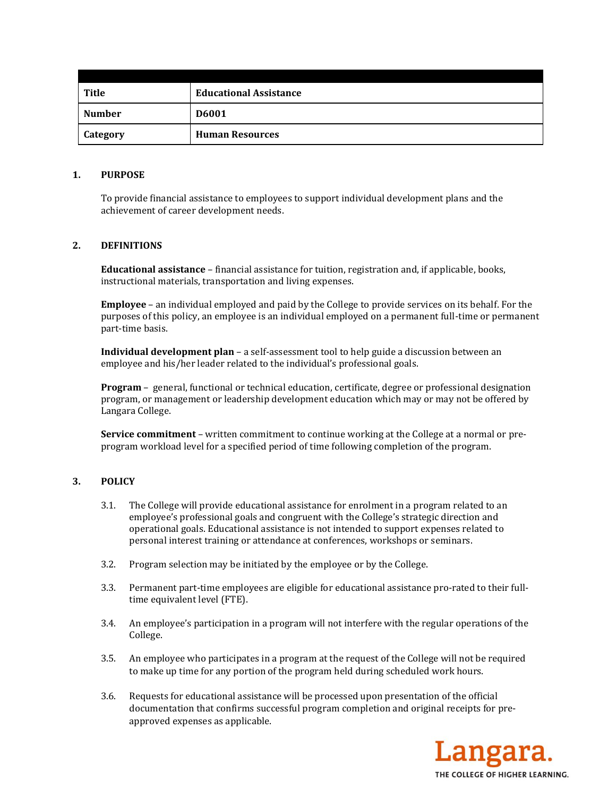| Title           | <b>Educational Assistance</b> |
|-----------------|-------------------------------|
| <b>Number</b>   | <b>D6001</b>                  |
| <b>Category</b> | <b>Human Resources</b>        |

### **1. PURPOSE**

To provide financial assistance to employees to support individual development plans and the achievement of career development needs.

# **2. DEFINITIONS**

**Educational assistance** – financial assistance for tuition, registration and, if applicable, books, instructional materials, transportation and living expenses.

**Employee** – an individual employed and paid by the College to provide services on its behalf. For the purposes of this policy, an employee is an individual employed on a permanent full-time or permanent part-time basis.

**Individual development plan** – a self-assessment tool to help guide a discussion between an employee and his/her leader related to the individual's professional goals.

**Program** – general, functional or technical education, certificate, degree or professional designation program, or management or leadership development education which may or may not be offered by Langara College.

**Service commitment** – written commitment to continue working at the College at a normal or preprogram workload level for a specified period of time following completion of the program.

# **3. POLICY**

- 3.1. The College will provide educational assistance for enrolment in a program related to an employee's professional goals and congruent with the College's strategic direction and operational goals. Educational assistance is not intended to support expenses related to personal interest training or attendance at conferences, workshops or seminars.
- 3.2. Program selection may be initiated by the employee or by the College.
- 3.3. Permanent part-time employees are eligible for educational assistance pro-rated to their fulltime equivalent level (FTE).
- 3.4. An employee's participation in a program will not interfere with the regular operations of the College.
- 3.5. An employee who participates in a program at the request of the College will not be required to make up time for any portion of the program held during scheduled work hours.
- 3.6. Requests for educational assistance will be processed upon presentation of the official documentation that confirms successful program completion and original receipts for preapproved expenses as applicable.